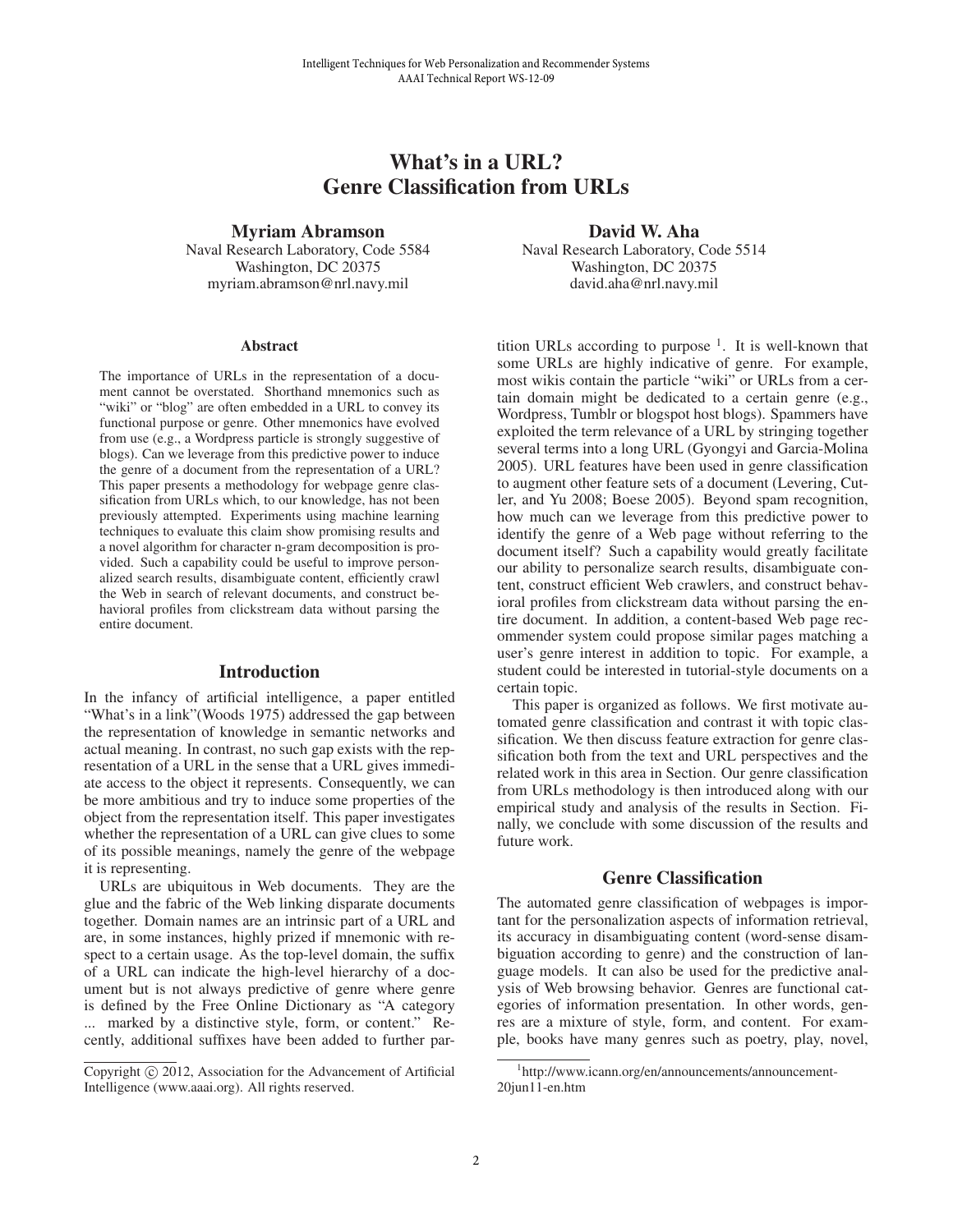# What's in a URL? Genre Classification from URLs

Myriam Abramson Naval Research Laboratory, Code 5584 Washington, DC 20375 myriam.abramson@nrl.navy.mil

#### **Abstract**

The importance of URLs in the representation of a document cannot be overstated. Shorthand mnemonics such as "wiki" or "blog" are often embedded in a URL to convey its functional purpose or genre. Other mnemonics have evolved from use (e.g., a Wordpress particle is strongly suggestive of blogs). Can we leverage from this predictive power to induce the genre of a document from the representation of a URL? This paper presents a methodology for webpage genre classification from URLs which, to our knowledge, has not been previously attempted. Experiments using machine learning techniques to evaluate this claim show promising results and a novel algorithm for character n-gram decomposition is provided. Such a capability could be useful to improve personalized search results, disambiguate content, efficiently crawl the Web in search of relevant documents, and construct behavioral profiles from clickstream data without parsing the entire document.

#### Introduction

In the infancy of artificial intelligence, a paper entitled "What's in a link" (Woods 1975) addressed the gap between the representation of knowledge in semantic networks and actual meaning. In contrast, no such gap exists with the representation of a URL in the sense that a URL gives immediate access to the object it represents. Consequently, we can be more ambitious and try to induce some properties of the object from the representation itself. This paper investigates whether the representation of a URL can give clues to some of its possible meanings, namely the genre of the webpage it is representing.

URLs are ubiquitous in Web documents. They are the glue and the fabric of the Web linking disparate documents together. Domain names are an intrinsic part of a URL and are, in some instances, highly prized if mnemonic with respect to a certain usage. As the top-level domain, the suffix of a URL can indicate the high-level hierarchy of a document but is not always predictive of genre where genre is defined by the Free Online Dictionary as "A category ... marked by a distinctive style, form, or content." Recently, additional suffixes have been added to further par-

David W. Aha Naval Research Laboratory, Code 5514 Washington, DC 20375 david.aha@nrl.navy.mil

tition URLs according to purpose  $<sup>1</sup>$ . It is well-known that</sup> some URLs are highly indicative of genre. For example, most wikis contain the particle "wiki" or URLs from a certain domain might be dedicated to a certain genre (e.g., Wordpress, Tumblr or blogspot host blogs). Spammers have exploited the term relevance of a URL by stringing together several terms into a long URL (Gyongyi and Garcia-Molina 2005). URL features have been used in genre classification to augment other feature sets of a document (Levering, Cutler, and Yu 2008; Boese 2005). Beyond spam recognition, how much can we leverage from this predictive power to identify the genre of a Web page without referring to the document itself? Such a capability would greatly facilitate our ability to personalize search results, disambiguate content, construct efficient Web crawlers, and construct behavioral profiles from clickstream data without parsing the entire document. In addition, a content-based Web page recommender system could propose similar pages matching a user's genre interest in addition to topic. For example, a student could be interested in tutorial-style documents on a certain topic.

This paper is organized as follows. We first motivate automated genre classification and contrast it with topic classification. We then discuss feature extraction for genre classification both from the text and URL perspectives and the related work in this area in Section. Our genre classification from URLs methodology is then introduced along with our empirical study and analysis of the results in Section. Finally, we conclude with some discussion of the results and future work.

#### Genre Classification

The automated genre classification of webpages is important for the personalization aspects of information retrieval, its accuracy in disambiguating content (word-sense disambiguation according to genre) and the construction of language models. It can also be used for the predictive analysis of Web browsing behavior. Genres are functional categories of information presentation. In other words, genres are a mixture of style, form, and content. For example, books have many genres such as poetry, play, novel,

Copyright (c) 2012, Association for the Advancement of Artificial Intelligence (www.aaai.org). All rights reserved.

<sup>1</sup> http://www.icann.org/en/announcements/announcement-20jun11-en.htm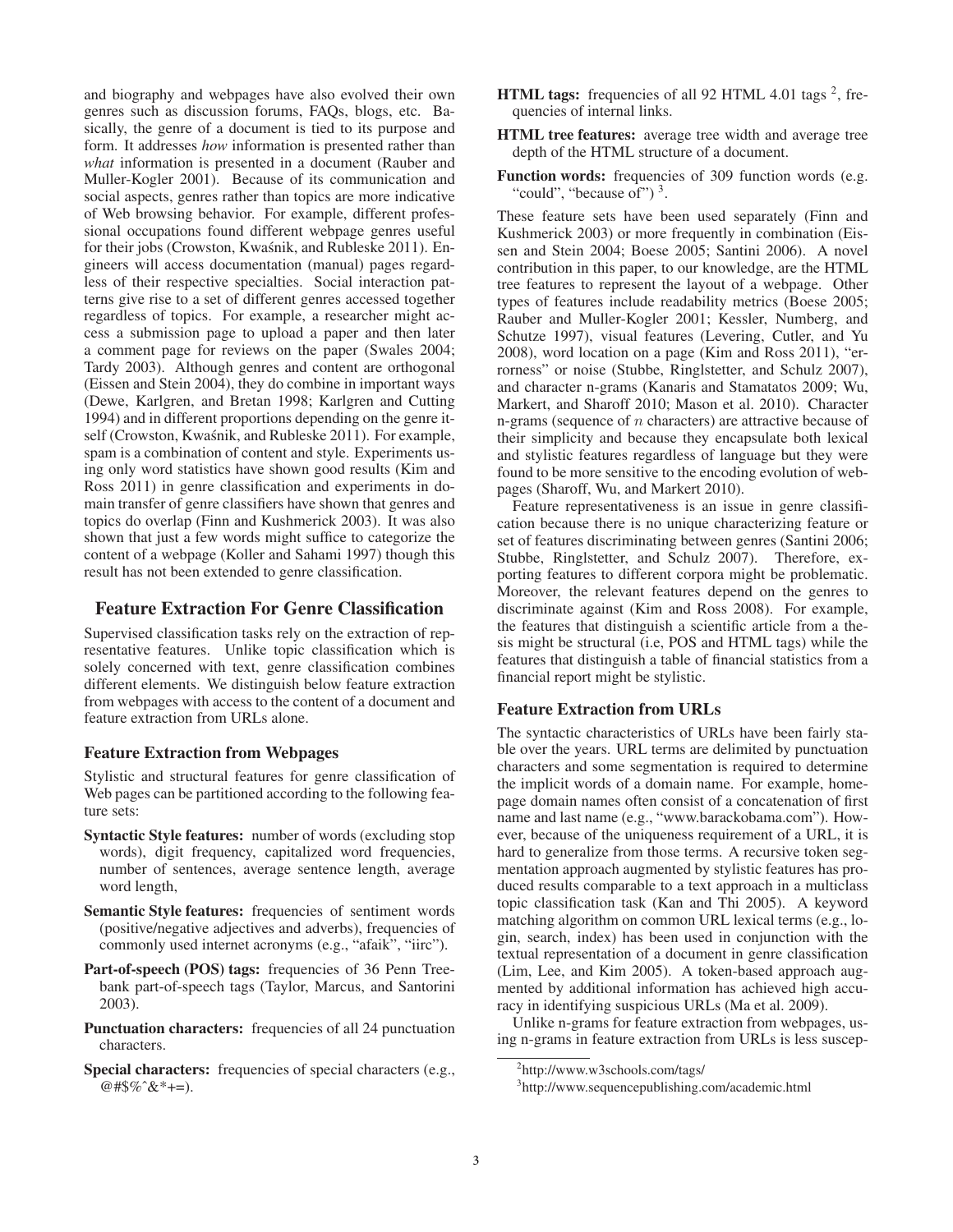and biography and webpages have also evolved their own genres such as discussion forums, FAQs, blogs, etc. Basically, the genre of a document is tied to its purpose and form. It addresses *how* information is presented rather than *what* information is presented in a document (Rauber and Muller-Kogler 2001). Because of its communication and social aspects, genres rather than topics are more indicative of Web browsing behavior. For example, different professional occupations found different webpage genres useful for their jobs (Crowston, Kwaśnik, and Rubleske 2011). Engineers will access documentation (manual) pages regardless of their respective specialties. Social interaction patterns give rise to a set of different genres accessed together regardless of topics. For example, a researcher might access a submission page to upload a paper and then later a comment page for reviews on the paper (Swales 2004; Tardy 2003). Although genres and content are orthogonal (Eissen and Stein 2004), they do combine in important ways (Dewe, Karlgren, and Bretan 1998; Karlgren and Cutting 1994) and in different proportions depending on the genre itself (Crowston, Kwaśnik, and Rubleske 2011). For example, spam is a combination of content and style. Experiments using only word statistics have shown good results (Kim and Ross 2011) in genre classification and experiments in domain transfer of genre classifiers have shown that genres and topics do overlap (Finn and Kushmerick 2003). It was also shown that just a few words might suffice to categorize the content of a webpage (Koller and Sahami 1997) though this result has not been extended to genre classification.

# Feature Extraction For Genre Classification

Supervised classification tasks rely on the extraction of representative features. Unlike topic classification which is solely concerned with text, genre classification combines different elements. We distinguish below feature extraction from webpages with access to the content of a document and feature extraction from URLs alone.

## Feature Extraction from Webpages

Stylistic and structural features for genre classification of Web pages can be partitioned according to the following feature sets:

- Syntactic Style features: number of words (excluding stop words), digit frequency, capitalized word frequencies, number of sentences, average sentence length, average word length,
- Semantic Style features: frequencies of sentiment words (positive/negative adjectives and adverbs), frequencies of commonly used internet acronyms (e.g., "afaik", "iirc").
- Part-of-speech (POS) tags: frequencies of 36 Penn Treebank part-of-speech tags (Taylor, Marcus, and Santorini 2003).
- Punctuation characters: frequencies of all 24 punctuation characters.
- Special characters: frequencies of special characters (e.g., @#\$%ˆ&\*+=).
- **HTML tags:** frequencies of all 92 HTML 4.01 tags  $^2$ , frequencies of internal links.
- HTML tree features: average tree width and average tree depth of the HTML structure of a document.
- Function words: frequencies of 309 function words (e.g. "could", "because of")<sup>3</sup>.

These feature sets have been used separately (Finn and Kushmerick 2003) or more frequently in combination (Eissen and Stein 2004; Boese 2005; Santini 2006). A novel contribution in this paper, to our knowledge, are the HTML tree features to represent the layout of a webpage. Other types of features include readability metrics (Boese 2005; Rauber and Muller-Kogler 2001; Kessler, Numberg, and Schutze 1997), visual features (Levering, Cutler, and Yu 2008), word location on a page (Kim and Ross 2011), "errorness" or noise (Stubbe, Ringlstetter, and Schulz 2007), and character n-grams (Kanaris and Stamatatos 2009; Wu, Markert, and Sharoff 2010; Mason et al. 2010). Character n-grams (sequence of  $n$  characters) are attractive because of their simplicity and because they encapsulate both lexical and stylistic features regardless of language but they were found to be more sensitive to the encoding evolution of webpages (Sharoff, Wu, and Markert 2010).

Feature representativeness is an issue in genre classification because there is no unique characterizing feature or set of features discriminating between genres (Santini 2006; Stubbe, Ringlstetter, and Schulz 2007). Therefore, exporting features to different corpora might be problematic. Moreover, the relevant features depend on the genres to discriminate against (Kim and Ross 2008). For example, the features that distinguish a scientific article from a thesis might be structural (i.e, POS and HTML tags) while the features that distinguish a table of financial statistics from a financial report might be stylistic.

## Feature Extraction from URLs

The syntactic characteristics of URLs have been fairly stable over the years. URL terms are delimited by punctuation characters and some segmentation is required to determine the implicit words of a domain name. For example, homepage domain names often consist of a concatenation of first name and last name (e.g., "www.barackobama.com"). However, because of the uniqueness requirement of a URL, it is hard to generalize from those terms. A recursive token segmentation approach augmented by stylistic features has produced results comparable to a text approach in a multiclass topic classification task (Kan and Thi 2005). A keyword matching algorithm on common URL lexical terms (e.g., login, search, index) has been used in conjunction with the textual representation of a document in genre classification (Lim, Lee, and Kim 2005). A token-based approach augmented by additional information has achieved high accuracy in identifying suspicious URLs (Ma et al. 2009).

Unlike n-grams for feature extraction from webpages, using n-grams in feature extraction from URLs is less suscep-

<sup>2</sup> http://www.w3schools.com/tags/

<sup>3</sup> http://www.sequencepublishing.com/academic.html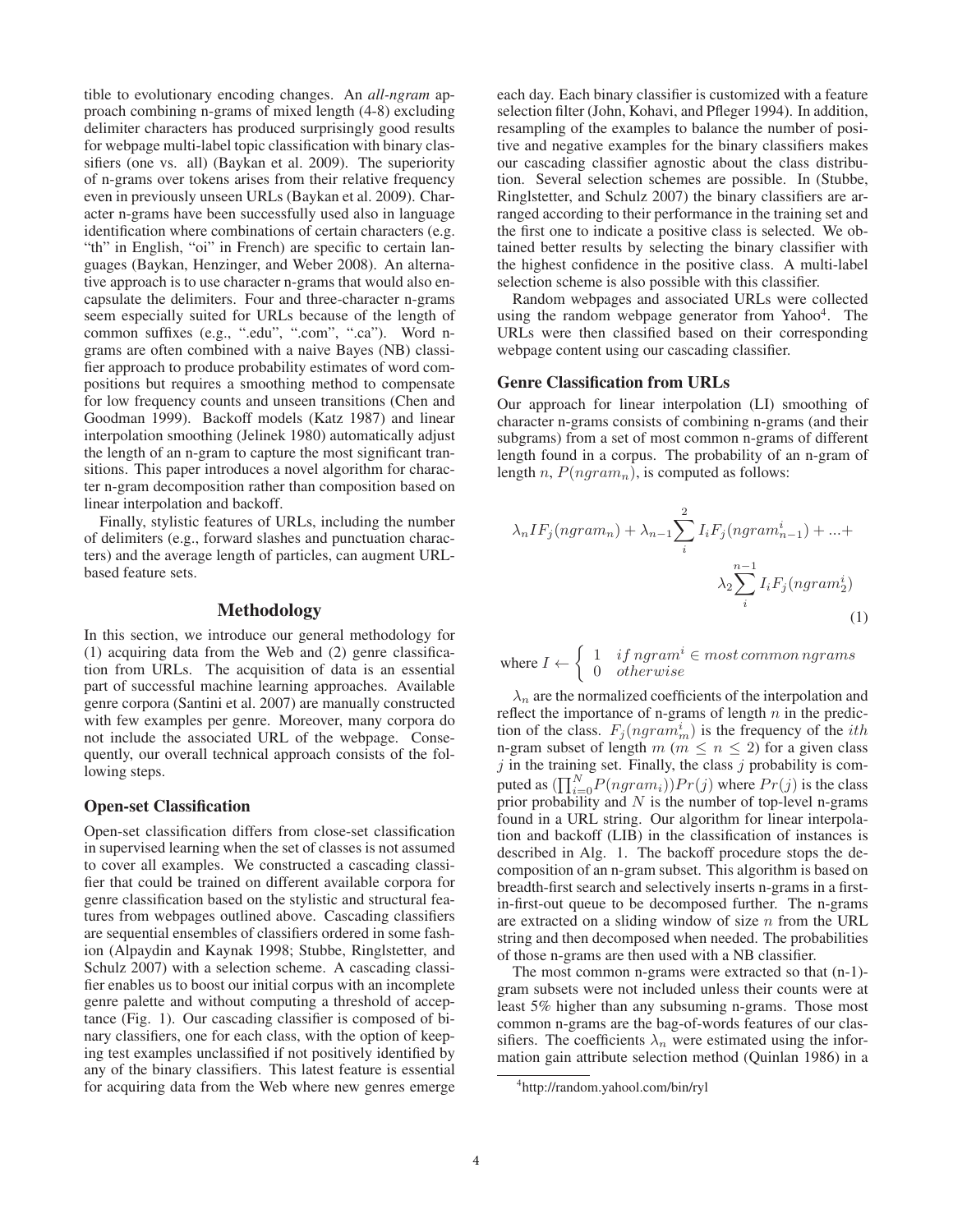tible to evolutionary encoding changes. An *all-ngram* approach combining n-grams of mixed length (4-8) excluding delimiter characters has produced surprisingly good results for webpage multi-label topic classification with binary classifiers (one vs. all) (Baykan et al. 2009). The superiority of n-grams over tokens arises from their relative frequency even in previously unseen URLs (Baykan et al. 2009). Character n-grams have been successfully used also in language identification where combinations of certain characters (e.g. "th" in English, "oi" in French) are specific to certain languages (Baykan, Henzinger, and Weber 2008). An alternative approach is to use character n-grams that would also encapsulate the delimiters. Four and three-character n-grams seem especially suited for URLs because of the length of common suffixes (e.g., ".edu", ".com", ".ca"). Word ngrams are often combined with a naive Bayes (NB) classifier approach to produce probability estimates of word compositions but requires a smoothing method to compensate for low frequency counts and unseen transitions (Chen and Goodman 1999). Backoff models (Katz 1987) and linear interpolation smoothing (Jelinek 1980) automatically adjust the length of an n-gram to capture the most significant transitions. This paper introduces a novel algorithm for character n-gram decomposition rather than composition based on linear interpolation and backoff.

Finally, stylistic features of URLs, including the number of delimiters (e.g., forward slashes and punctuation characters) and the average length of particles, can augment URLbased feature sets.

## Methodology

In this section, we introduce our general methodology for (1) acquiring data from the Web and (2) genre classification from URLs. The acquisition of data is an essential part of successful machine learning approaches. Available genre corpora (Santini et al. 2007) are manually constructed with few examples per genre. Moreover, many corpora do not include the associated URL of the webpage. Consequently, our overall technical approach consists of the following steps.

#### Open-set Classification

Open-set classification differs from close-set classification in supervised learning when the set of classes is not assumed to cover all examples. We constructed a cascading classifier that could be trained on different available corpora for genre classification based on the stylistic and structural features from webpages outlined above. Cascading classifiers are sequential ensembles of classifiers ordered in some fashion (Alpaydin and Kaynak 1998; Stubbe, Ringlstetter, and Schulz 2007) with a selection scheme. A cascading classifier enables us to boost our initial corpus with an incomplete genre palette and without computing a threshold of acceptance (Fig. 1). Our cascading classifier is composed of binary classifiers, one for each class, with the option of keeping test examples unclassified if not positively identified by any of the binary classifiers. This latest feature is essential for acquiring data from the Web where new genres emerge

each day. Each binary classifier is customized with a feature selection filter (John, Kohavi, and Pfleger 1994). In addition, resampling of the examples to balance the number of positive and negative examples for the binary classifiers makes our cascading classifier agnostic about the class distribution. Several selection schemes are possible. In (Stubbe, Ringlstetter, and Schulz 2007) the binary classifiers are arranged according to their performance in the training set and the first one to indicate a positive class is selected. We obtained better results by selecting the binary classifier with the highest confidence in the positive class. A multi-label selection scheme is also possible with this classifier.

Random webpages and associated URLs were collected using the random webpage generator from Yahoo4. The URLs were then classified based on their corresponding webpage content using our cascading classifier.

#### Genre Classification from URLs

Our approach for linear interpolation (LI) smoothing of character n-grams consists of combining n-grams (and their subgrams) from a set of most common n-grams of different length found in a corpus. The probability of an n-gram of length n,  $P(ngram_n)$ , is computed as follows:

$$
\lambda_n IF_j(ngram_n) + \lambda_{n-1} \sum_{i}^{2} I_iF_j(ngram_{n-1}^i) + \dots + \lambda_2 \sum_{i}^{n-1} I_iF_j(ngram_2^i)
$$
\n
$$
(1)
$$

where  $I \leftarrow \begin{cases} 1 & if ngram^i \in most common ngrams \ 0 & otherwise \end{cases}$ 0 otherwise

 $\lambda_n$  are the normalized coefficients of the interpolation and reflect the importance of n-grams of length  $n$  in the prediction of the class.  $F_j(ngram_m^i)$  is the frequency of the *ith* n-gram subset of length  $m$  ( $m \le n \le 2$ ) for a given class  $j$  in the training set. Finally, the class  $j$  probability is computed as  $(\prod_{i=0}^{N} P(ngram_i)) Pr(j)$  where  $Pr(j)$  is the class prior probability and  $N$  is the number of top-level n-grams found in a URL string. Our algorithm for linear interpolation and backoff (LIB) in the classification of instances is described in Alg. 1. The backoff procedure stops the decomposition of an n-gram subset. This algorithm is based on breadth-first search and selectively inserts n-grams in a firstin-first-out queue to be decomposed further. The n-grams are extracted on a sliding window of size  $n$  from the URL string and then decomposed when needed. The probabilities of those n-grams are then used with a NB classifier.

The most common n-grams were extracted so that (n-1) gram subsets were not included unless their counts were at least 5% higher than any subsuming n-grams. Those most common n-grams are the bag-of-words features of our classifiers. The coefficients  $\lambda_n$  were estimated using the information gain attribute selection method (Quinlan 1986) in a

<sup>4</sup> http://random.yahool.com/bin/ryl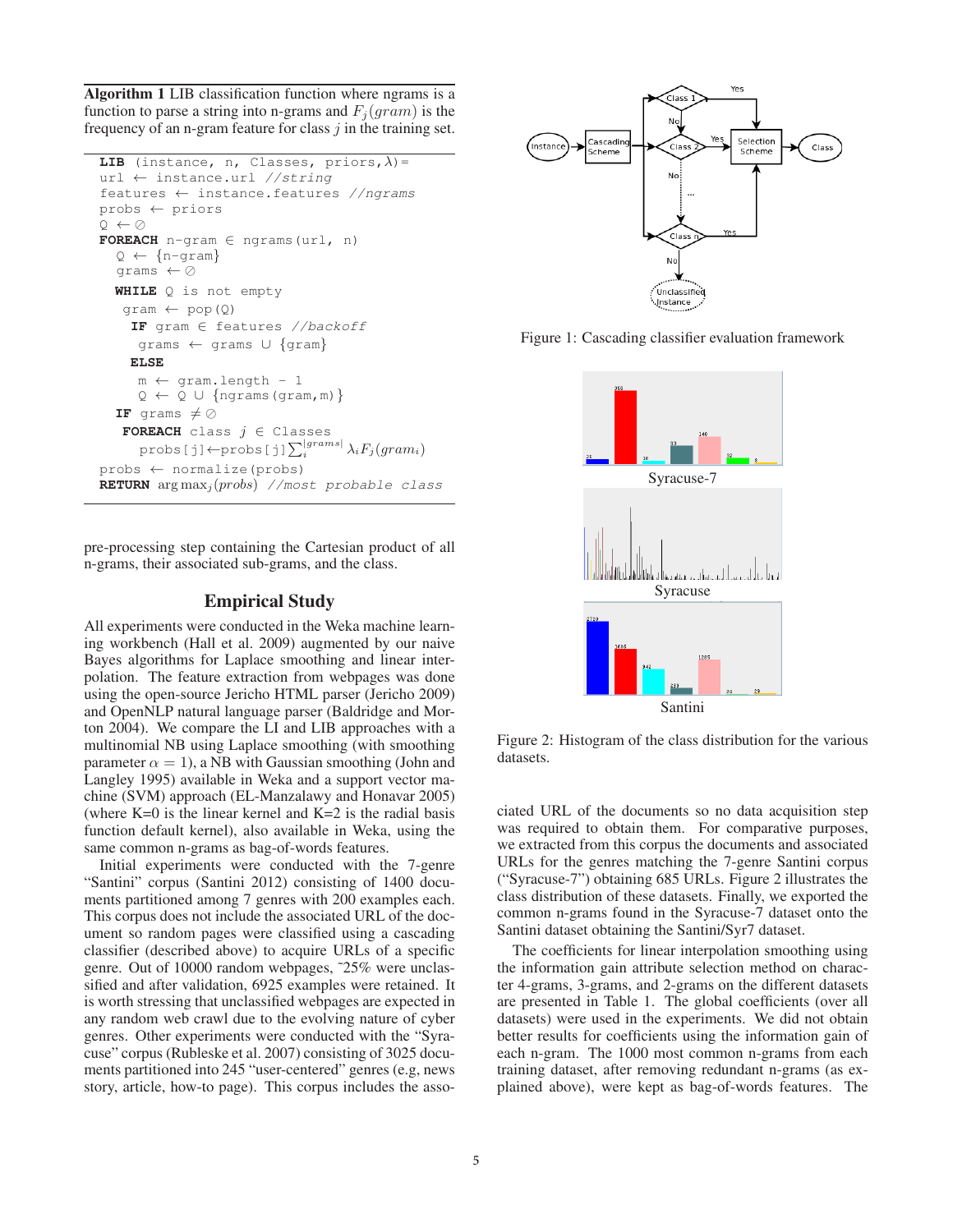Algorithm 1 LIB classification function where ngrams is a function to parse a string into n-grams and  $F_i (gram)$  is the frequency of an n-gram feature for class  $j$  in the training set.

```
LIB (instance, n, Classes, priors, \lambda) =
url ← instance.url //string
features ← instance.features //ngrams
probs ← priors
Q \leftarrow \emptysetFOREACH n-gram ∈ ngrams(url, n)
  Q \leftarrow \{n\text{-gram}\}grams \leftarrow \oslashWHILE Q is not empty
   qram \leftarrow pop(Q)
    IF gram ∈ features //backoff
     grams ← grams ∪ {gram}
    ELSE
     m ← gram.length - 1
     Q \leftarrow Q \cup \{ngrams(gram, m)\}IF grams \neq \oslashFOREACH class j \in Classes
      probs[j]←probs[j]\sum_{i}^{|grams|} \lambda_i F_j(gram_i)probs ← normalize(probs)
RETURN arg\max_{i} (probs) //most probable class
```
pre-processing step containing the Cartesian product of all n-grams, their associated sub-grams, and the class.

# Empirical Study

All experiments were conducted in the Weka machine learning workbench (Hall et al. 2009) augmented by our naive Bayes algorithms for Laplace smoothing and linear interpolation. The feature extraction from webpages was done using the open-source Jericho HTML parser (Jericho 2009) and OpenNLP natural language parser (Baldridge and Morton 2004). We compare the LI and LIB approaches with a multinomial NB using Laplace smoothing (with smoothing parameter  $\alpha = 1$ ), a NB with Gaussian smoothing (John and Langley 1995) available in Weka and a support vector machine (SVM) approach (EL-Manzalawy and Honavar 2005) (where  $K=0$  is the linear kernel and  $K=2$  is the radial basis function default kernel), also available in Weka, using the same common n-grams as bag-of-words features.

Initial experiments were conducted with the 7-genre "Santini" corpus (Santini 2012) consisting of 1400 documents partitioned among 7 genres with 200 examples each. This corpus does not include the associated URL of the document so random pages were classified using a cascading classifier (described above) to acquire URLs of a specific genre. Out of 10000 random webpages, ˜25% were unclassified and after validation, 6925 examples were retained. It is worth stressing that unclassified webpages are expected in any random web crawl due to the evolving nature of cyber genres. Other experiments were conducted with the "Syracuse" corpus (Rubleske et al. 2007) consisting of 3025 documents partitioned into 245 "user-centered" genres (e.g, news story, article, how-to page). This corpus includes the asso-



Figure 1: Cascading classifier evaluation framework



Figure 2: Histogram of the class distribution for the various datasets.

ciated URL of the documents so no data acquisition step was required to obtain them. For comparative purposes, we extracted from this corpus the documents and associated URLs for the genres matching the 7-genre Santini corpus ("Syracuse-7") obtaining 685 URLs. Figure 2 illustrates the class distribution of these datasets. Finally, we exported the common n-grams found in the Syracuse-7 dataset onto the Santini dataset obtaining the Santini/Syr7 dataset.

The coefficients for linear interpolation smoothing using the information gain attribute selection method on character 4-grams, 3-grams, and 2-grams on the different datasets are presented in Table 1. The global coefficients (over all datasets) were used in the experiments. We did not obtain better results for coefficients using the information gain of each n-gram. The 1000 most common n-grams from each training dataset, after removing redundant n-grams (as explained above), were kept as bag-of-words features. The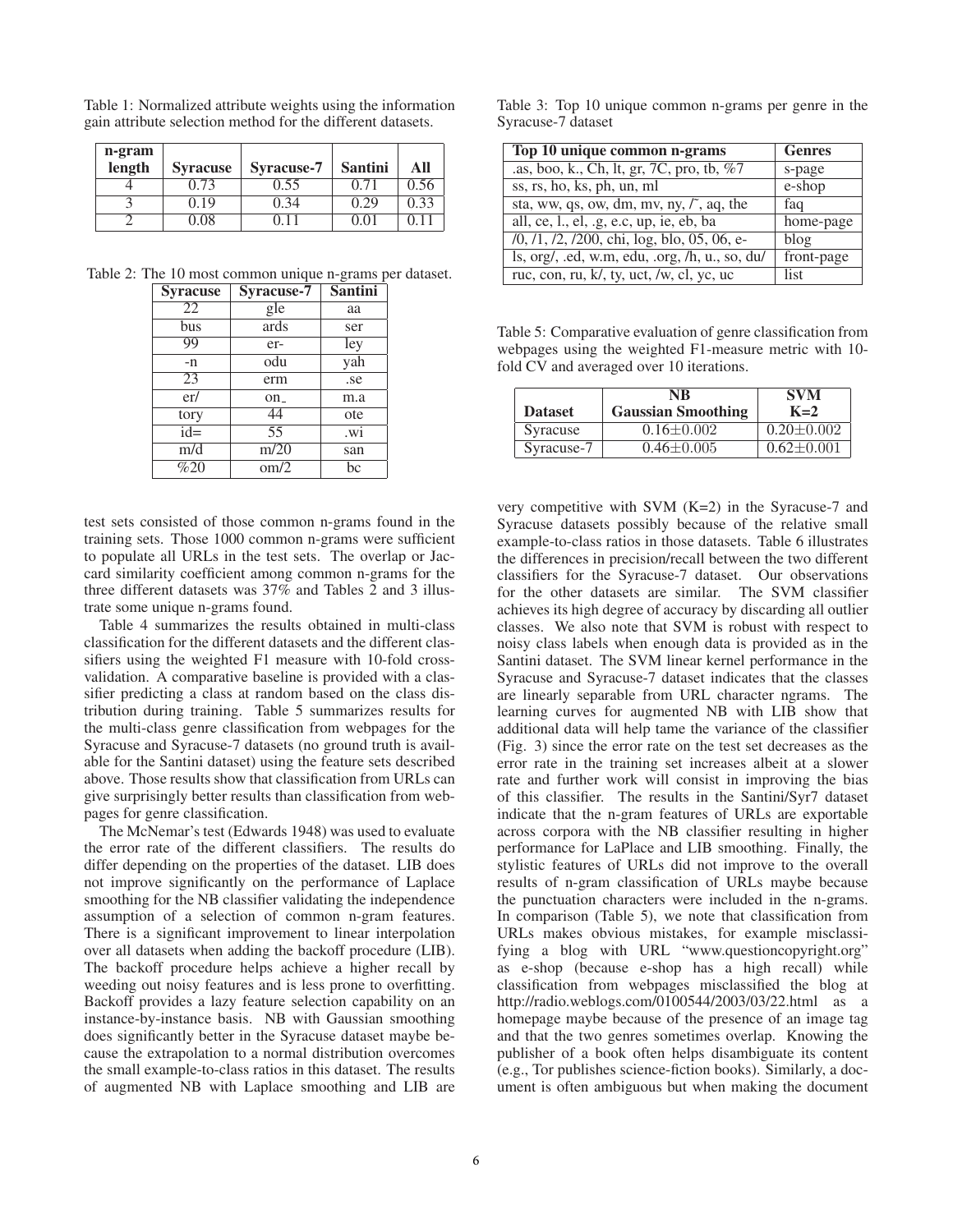| n-gram |                 |                   |                |      |
|--------|-----------------|-------------------|----------------|------|
| length | <b>Syracuse</b> | <b>Syracuse-7</b> | <b>Santini</b> | All  |
|        | 0.73            | 0.55              | 0.71           | 0.56 |
|        | 0.19            | 0.34              | 0.29           | 0.33 |
|        | 0.08            | በ 11              | 0.01           |      |

Table 1: Normalized attribute weights using the information gain attribute selection method for the different datasets.

Table 2: The 10 most common unique n-grams per dataset.

| <b>Syracuse</b> | <b>Syracuse-7</b> | <b>Santini</b> |
|-----------------|-------------------|----------------|
| 22              | gle               | aa             |
| bus             | ards              | ser            |
| 99              | er-               | ley            |
| $-n$            | odu               | yah            |
| 23              | erm               | .se            |
| er/             | on_               | m.a            |
| tory            | 44                | ote            |
| $id =$          | 55                | .wi            |
| m/d             | m/20              | san            |
| %20             | $\text{om}/2$     | bc             |

test sets consisted of those common n-grams found in the training sets. Those 1000 common n-grams were sufficient to populate all URLs in the test sets. The overlap or Jaccard similarity coefficient among common n-grams for the three different datasets was 37% and Tables 2 and 3 illustrate some unique n-grams found.

Table 4 summarizes the results obtained in multi-class classification for the different datasets and the different classifiers using the weighted F1 measure with 10-fold crossvalidation. A comparative baseline is provided with a classifier predicting a class at random based on the class distribution during training. Table 5 summarizes results for the multi-class genre classification from webpages for the Syracuse and Syracuse-7 datasets (no ground truth is available for the Santini dataset) using the feature sets described above. Those results show that classification from URLs can give surprisingly better results than classification from webpages for genre classification.

The McNemar's test (Edwards 1948) was used to evaluate the error rate of the different classifiers. The results do differ depending on the properties of the dataset. LIB does not improve significantly on the performance of Laplace smoothing for the NB classifier validating the independence assumption of a selection of common n-gram features. There is a significant improvement to linear interpolation over all datasets when adding the backoff procedure (LIB). The backoff procedure helps achieve a higher recall by weeding out noisy features and is less prone to overfitting. Backoff provides a lazy feature selection capability on an instance-by-instance basis. NB with Gaussian smoothing does significantly better in the Syracuse dataset maybe because the extrapolation to a normal distribution overcomes the small example-to-class ratios in this dataset. The results of augmented NB with Laplace smoothing and LIB are

Table 3: Top 10 unique common n-grams per genre in the Syracuse-7 dataset

| Top 10 unique common n-grams                                                                                         | <b>Genres</b> |
|----------------------------------------------------------------------------------------------------------------------|---------------|
| .as, boo, k., Ch, lt, gr, 7C, pro, tb, %7                                                                            | s-page        |
| ss, rs, ho, ks, ph, un, ml                                                                                           | e-shop        |
| sta, ww, qs, ow, dm, mv, ny, $\zeta$ , aq, the                                                                       | faq           |
| all, ce, l., el, .g, e.c, up, ie, eb, ba                                                                             | home-page     |
| /0, /1, /2, /200, chi, log, blo, 05, 06, e-                                                                          | blog          |
| $\{ \text{ls}, \text{org/}, \text{.ed}, \text{w.m}, \text{edu}, \text{.org}, \text{/h}, \text{u., so}, \text{du} \}$ | front-page    |
| ruc, con, ru, k/, ty, uct, /w, cl, yc, uc                                                                            | list          |

Table 5: Comparative evaluation of genre classification from webpages using the weighted F1-measure metric with 10 fold CV and averaged over 10 iterations.

| <b>Dataset</b> | NR<br><b>Gaussian Smoothing</b> | <b>SVM</b><br>$K=2$ |
|----------------|---------------------------------|---------------------|
| Syracuse       | $0.16 \pm 0.002$                | $0.20 \pm 0.002$    |
| Syracuse-7     | $0.46 \pm 0.005$                | $0.62 \pm 0.001$    |

very competitive with SVM  $(K=2)$  in the Syracuse-7 and Syracuse datasets possibly because of the relative small example-to-class ratios in those datasets. Table 6 illustrates the differences in precision/recall between the two different classifiers for the Syracuse-7 dataset. Our observations for the other datasets are similar. The SVM classifier achieves its high degree of accuracy by discarding all outlier classes. We also note that SVM is robust with respect to noisy class labels when enough data is provided as in the Santini dataset. The SVM linear kernel performance in the Syracuse and Syracuse-7 dataset indicates that the classes are linearly separable from URL character ngrams. The learning curves for augmented NB with LIB show that additional data will help tame the variance of the classifier (Fig. 3) since the error rate on the test set decreases as the error rate in the training set increases albeit at a slower rate and further work will consist in improving the bias of this classifier. The results in the Santini/Syr7 dataset indicate that the n-gram features of URLs are exportable across corpora with the NB classifier resulting in higher performance for LaPlace and LIB smoothing. Finally, the stylistic features of URLs did not improve to the overall results of n-gram classification of URLs maybe because the punctuation characters were included in the n-grams. In comparison (Table 5), we note that classification from URLs makes obvious mistakes, for example misclassifying a blog with URL "www.questioncopyright.org" as e-shop (because e-shop has a high recall) while classification from webpages misclassified the blog at http://radio.weblogs.com/0100544/2003/03/22.html as a homepage maybe because of the presence of an image tag and that the two genres sometimes overlap. Knowing the publisher of a book often helps disambiguate its content (e.g., Tor publishes science-fiction books). Similarly, a document is often ambiguous but when making the document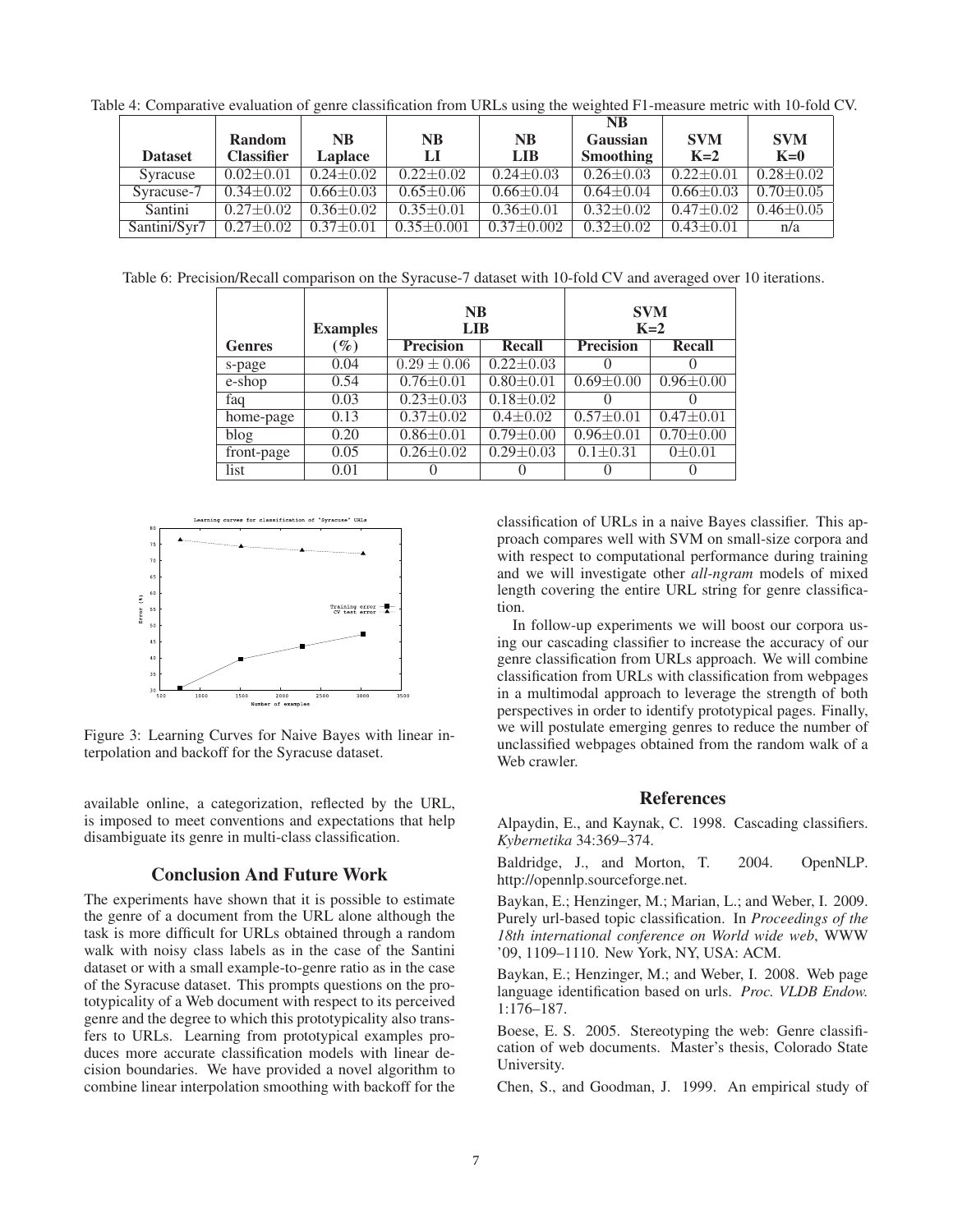Table 4: Comparative evaluation of genre classification from URLs using the weighted F1-measure metric with 10-fold CV.

|                |                   |                 |                  |                 | <b>NB</b>        |                 |                 |
|----------------|-------------------|-----------------|------------------|-----------------|------------------|-----------------|-----------------|
|                | <b>Random</b>     | <b>NB</b>       | <b>NB</b>        | <b>NB</b>       | Gaussian         | <b>SVM</b>      | <b>SVM</b>      |
| <b>Dataset</b> | <b>Classifier</b> | Laplace         | IJ               | <b>LIB</b>      | <b>Smoothing</b> | $K=2$           | $K=0$           |
| Syracuse       | $0.02 \pm 0.01$   | $0.24 + 0.02$   | $0.22 \pm 0.02$  | $0.24 \pm 0.03$ | $0.26 \pm 0.03$  | $0.22 + 0.01$   | $0.28 + 0.02$   |
| Syracuse-7     | $0.34 \pm 0.02$   | $0.66 \pm 0.03$ | $0.65 \pm 0.06$  | $0.66 \pm 0.04$ | $0.64 \pm 0.04$  | $0.66 \pm 0.03$ | $0.70 \pm 0.05$ |
| Santini        | $0.27 \pm 0.02$   | $0.36 \pm 0.02$ | $0.35 \pm 0.01$  | $0.36 \pm 0.01$ | $0.32 \pm 0.02$  | $0.47 + 0.02$   | $0.46 \pm 0.05$ |
| Santini/Svr7   | $0.27 \pm 0.02$   | $0.37 \pm 0.01$ | $0.35 \pm 0.001$ | $0.37 + 0.002$  | $0.32 \pm 0.02$  | $0.43 \pm 0.01$ | n/a             |

Table 6: Precision/Recall comparison on the Syracuse-7 dataset with 10-fold CV and averaged over 10 iterations.

|               | <b>Examples</b> | <b>NB</b><br>LIB |                 | <b>SVM</b><br>$K=2$ |                 |
|---------------|-----------------|------------------|-----------------|---------------------|-----------------|
| <b>Genres</b> | $(\%)$          | <b>Precision</b> | <b>Recall</b>   | <b>Precision</b>    | <b>Recall</b>   |
| s-page        | 0.04            | $0.29 \pm 0.06$  | $0.22 \pm 0.03$ | 0                   |                 |
| e-shop        | 0.54            | $0.76 \pm 0.01$  | $0.80 \pm 0.01$ | $0.69 \pm 0.00$     | $0.96 \pm 0.00$ |
| faq           | 0.03            | $0.23 \pm 0.03$  | $0.18 \pm 0.02$ | $\theta$            |                 |
| home-page     | 0.13            | $0.37 \pm 0.02$  | $0.4 \pm 0.02$  | $0.57 \pm 0.01$     | $0.47 \pm 0.01$ |
| blog          | 0.20            | $0.86 \pm 0.01$  | $0.79 \pm 0.00$ | $0.96 \pm 0.01$     | $0.70 \pm 0.00$ |
| front-page    | 0.05            | $0.26 \pm 0.02$  | $0.29 \pm 0.03$ | $0.1 \pm 0.31$      | $0 \pm 0.01$    |
| list          | 0.01            |                  |                 | 0                   |                 |



Figure 3: Learning Curves for Naive Bayes with linear interpolation and backoff for the Syracuse dataset.

available online, a categorization, reflected by the URL, is imposed to meet conventions and expectations that help disambiguate its genre in multi-class classification.

## Conclusion And Future Work

The experiments have shown that it is possible to estimate the genre of a document from the URL alone although the task is more difficult for URLs obtained through a random walk with noisy class labels as in the case of the Santini dataset or with a small example-to-genre ratio as in the case of the Syracuse dataset. This prompts questions on the prototypicality of a Web document with respect to its perceived genre and the degree to which this prototypicality also transfers to URLs. Learning from prototypical examples produces more accurate classification models with linear decision boundaries. We have provided a novel algorithm to combine linear interpolation smoothing with backoff for the classification of URLs in a naive Bayes classifier. This approach compares well with SVM on small-size corpora and with respect to computational performance during training and we will investigate other *all-ngram* models of mixed length covering the entire URL string for genre classification.

In follow-up experiments we will boost our corpora using our cascading classifier to increase the accuracy of our genre classification from URLs approach. We will combine classification from URLs with classification from webpages in a multimodal approach to leverage the strength of both perspectives in order to identify prototypical pages. Finally, we will postulate emerging genres to reduce the number of unclassified webpages obtained from the random walk of a Web crawler.

## References

Alpaydin, E., and Kaynak, C. 1998. Cascading classifiers. *Kybernetika* 34:369–374.

Baldridge, J., and Morton, T. 2004. OpenNLP. http://opennlp.sourceforge.net.

Baykan, E.; Henzinger, M.; Marian, L.; and Weber, I. 2009. Purely url-based topic classification. In *Proceedings of the 18th international conference on World wide web*, WWW '09, 1109–1110. New York, NY, USA: ACM.

Baykan, E.; Henzinger, M.; and Weber, I. 2008. Web page language identification based on urls. *Proc. VLDB Endow.* 1:176–187.

Boese, E. S. 2005. Stereotyping the web: Genre classification of web documents. Master's thesis, Colorado State University.

Chen, S., and Goodman, J. 1999. An empirical study of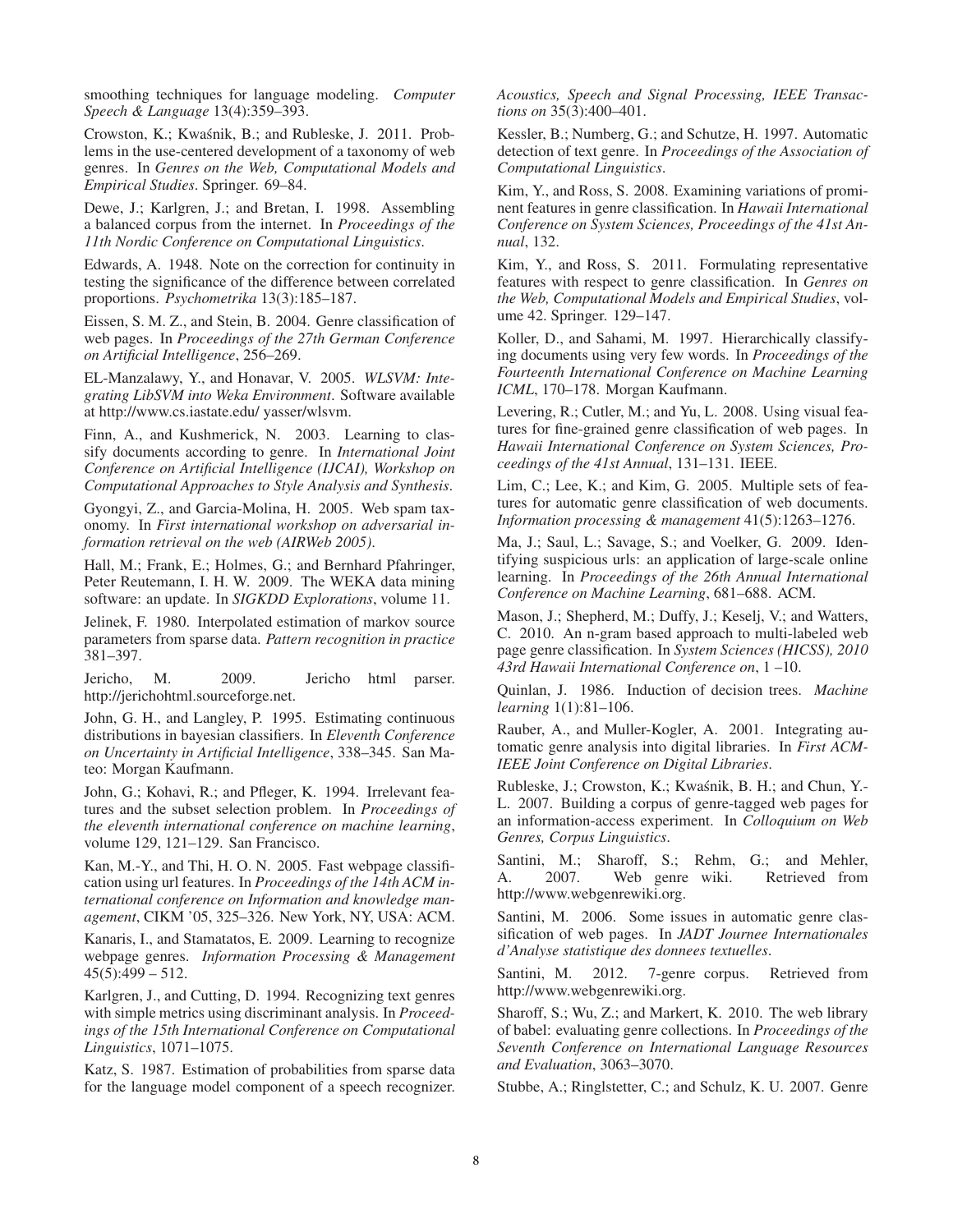smoothing techniques for language modeling. *Computer Speech & Language* 13(4):359–393.

Crowston, K.; Kwaśnik, B.; and Rubleske, J. 2011. Problems in the use-centered development of a taxonomy of web genres. In *Genres on the Web, Computational Models and Empirical Studies*. Springer. 69–84.

Dewe, J.; Karlgren, J.; and Bretan, I. 1998. Assembling a balanced corpus from the internet. In *Proceedings of the 11th Nordic Conference on Computational Linguistics*.

Edwards, A. 1948. Note on the correction for continuity in testing the significance of the difference between correlated proportions. *Psychometrika* 13(3):185–187.

Eissen, S. M. Z., and Stein, B. 2004. Genre classification of web pages. In *Proceedings of the 27th German Conference on Artificial Intelligence*, 256–269.

EL-Manzalawy, Y., and Honavar, V. 2005. *WLSVM: Integrating LibSVM into Weka Environment*. Software available at http://www.cs.iastate.edu/ yasser/wlsvm.

Finn, A., and Kushmerick, N. 2003. Learning to classify documents according to genre. In *International Joint Conference on Artificial Intelligence (IJCAI), Workshop on Computational Approaches to Style Analysis and Synthesis*.

Gyongyi, Z., and Garcia-Molina, H. 2005. Web spam taxonomy. In *First international workshop on adversarial information retrieval on the web (AIRWeb 2005)*.

Hall, M.; Frank, E.; Holmes, G.; and Bernhard Pfahringer, Peter Reutemann, I. H. W. 2009. The WEKA data mining software: an update. In *SIGKDD Explorations*, volume 11.

Jelinek, F. 1980. Interpolated estimation of markov source parameters from sparse data. *Pattern recognition in practice* 381–397.

Jericho, M. 2009. Jericho html parser. http://jerichohtml.sourceforge.net.

John, G. H., and Langley, P. 1995. Estimating continuous distributions in bayesian classifiers. In *Eleventh Conference on Uncertainty in Artificial Intelligence*, 338–345. San Mateo: Morgan Kaufmann.

John, G.; Kohavi, R.; and Pfleger, K. 1994. Irrelevant features and the subset selection problem. In *Proceedings of the eleventh international conference on machine learning*, volume 129, 121–129. San Francisco.

Kan, M.-Y., and Thi, H. O. N. 2005. Fast webpage classification using url features. In *Proceedings of the 14th ACM international conference on Information and knowledge management*, CIKM '05, 325–326. New York, NY, USA: ACM.

Kanaris, I., and Stamatatos, E. 2009. Learning to recognize webpage genres. *Information Processing & Management*  $45(5):499 - 512.$ 

Karlgren, J., and Cutting, D. 1994. Recognizing text genres with simple metrics using discriminant analysis. In *Proceedings of the 15th International Conference on Computational Linguistics*, 1071–1075.

Katz, S. 1987. Estimation of probabilities from sparse data for the language model component of a speech recognizer. *Acoustics, Speech and Signal Processing, IEEE Transactions on* 35(3):400–401.

Kessler, B.; Numberg, G.; and Schutze, H. 1997. Automatic detection of text genre. In *Proceedings of the Association of Computational Linguistics*.

Kim, Y., and Ross, S. 2008. Examining variations of prominent features in genre classification. In *Hawaii International Conference on System Sciences, Proceedings of the 41st Annual*, 132.

Kim, Y., and Ross, S. 2011. Formulating representative features with respect to genre classification. In *Genres on the Web, Computational Models and Empirical Studies*, volume 42. Springer. 129–147.

Koller, D., and Sahami, M. 1997. Hierarchically classifying documents using very few words. In *Proceedings of the Fourteenth International Conference on Machine Learning ICML*, 170–178. Morgan Kaufmann.

Levering, R.; Cutler, M.; and Yu, L. 2008. Using visual features for fine-grained genre classification of web pages. In *Hawaii International Conference on System Sciences, Proceedings of the 41st Annual*, 131–131. IEEE.

Lim, C.; Lee, K.; and Kim, G. 2005. Multiple sets of features for automatic genre classification of web documents. *Information processing & management* 41(5):1263–1276.

Ma, J.; Saul, L.; Savage, S.; and Voelker, G. 2009. Identifying suspicious urls: an application of large-scale online learning. In *Proceedings of the 26th Annual International Conference on Machine Learning*, 681–688. ACM.

Mason, J.; Shepherd, M.; Duffy, J.; Keselj, V.; and Watters, C. 2010. An n-gram based approach to multi-labeled web page genre classification. In *System Sciences (HICSS), 2010 43rd Hawaii International Conference on*, 1 –10.

Quinlan, J. 1986. Induction of decision trees. *Machine learning* 1(1):81–106.

Rauber, A., and Muller-Kogler, A. 2001. Integrating automatic genre analysis into digital libraries. In *First ACM-IEEE Joint Conference on Digital Libraries*.

Rubleske, J.; Crowston, K.; Kwaśnik, B. H.; and Chun, Y.-L. 2007. Building a corpus of genre-tagged web pages for an information-access experiment. In *Colloquium on Web Genres, Corpus Linguistics*.

Santini, M.; Sharoff, S.; Rehm, G.; and Mehler, A. 2007. Web genre wiki. Retrieved from http://www.webgenrewiki.org.

Santini, M. 2006. Some issues in automatic genre classification of web pages. In *JADT Journee Internationales d'Analyse statistique des donnees textuelles*.

Santini, M. 2012. 7-genre corpus. Retrieved from http://www.webgenrewiki.org.

Sharoff, S.; Wu, Z.; and Markert, K. 2010. The web library of babel: evaluating genre collections. In *Proceedings of the Seventh Conference on International Language Resources and Evaluation*, 3063–3070.

Stubbe, A.; Ringlstetter, C.; and Schulz, K. U. 2007. Genre